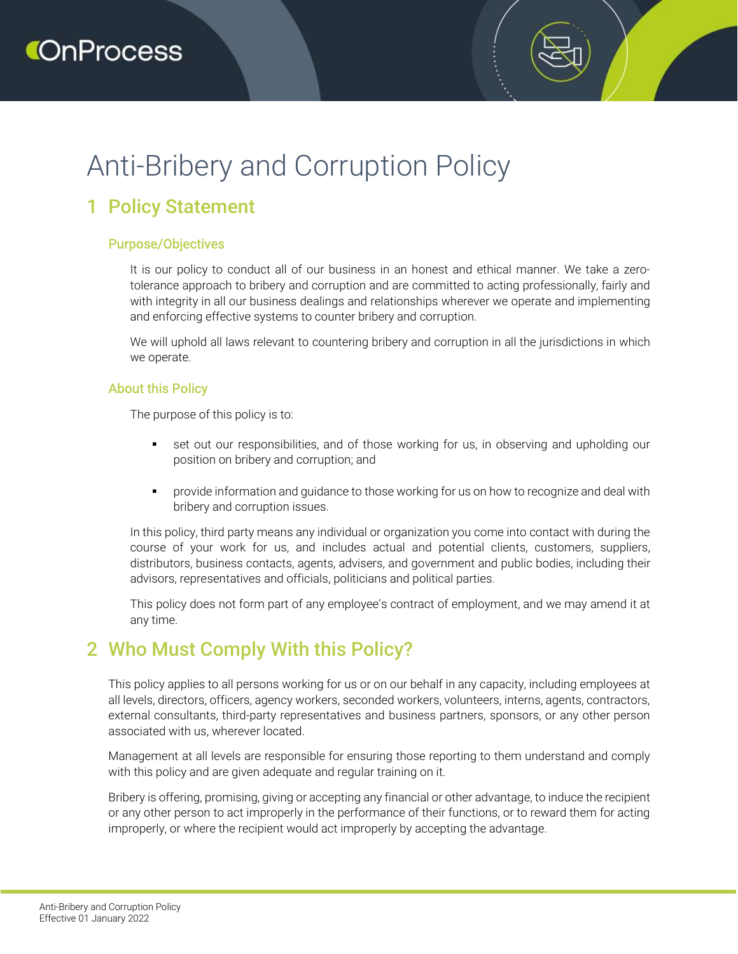# Anti-Bribery and Corruption Policy

# 1 Policy Statement

#### Purpose/Objectives

It is our policy to conduct all of our business in an honest and ethical manner. We take a zerotolerance approach to bribery and corruption and are committed to acting professionally, fairly and with integrity in all our business dealings and relationships wherever we operate and implementing and enforcing effective systems to counter bribery and corruption.

We will uphold all laws relevant to countering bribery and corruption in all the jurisdictions in which we operate.

#### About this Policy

The purpose of this policy is to:

- set out our responsibilities, and of those working for us, in observing and upholding our position on bribery and corruption; and
- **•** provide information and guidance to those working for us on how to recognize and deal with bribery and corruption issues.

In this policy, third party means any individual or organization you come into contact with during the course of your work for us, and includes actual and potential clients, customers, suppliers, distributors, business contacts, agents, advisers, and government and public bodies, including their advisors, representatives and officials, politicians and political parties.

This policy does not form part of any employee's contract of employment, and we may amend it at any time.

### 2 Who Must Comply With this Policy?

This policy applies to all persons working for us or on our behalf in any capacity, including employees at all levels, directors, officers, agency workers, seconded workers, volunteers, interns, agents, contractors, external consultants, third-party representatives and business partners, sponsors, or any other person associated with us, wherever located.

Management at all levels are responsible for ensuring those reporting to them understand and comply with this policy and are given adequate and regular training on it.

Bribery is offering, promising, giving or accepting any financial or other advantage, to induce the recipient or any other person to act improperly in the performance of their functions, or to reward them for acting improperly, or where the recipient would act improperly by accepting the advantage.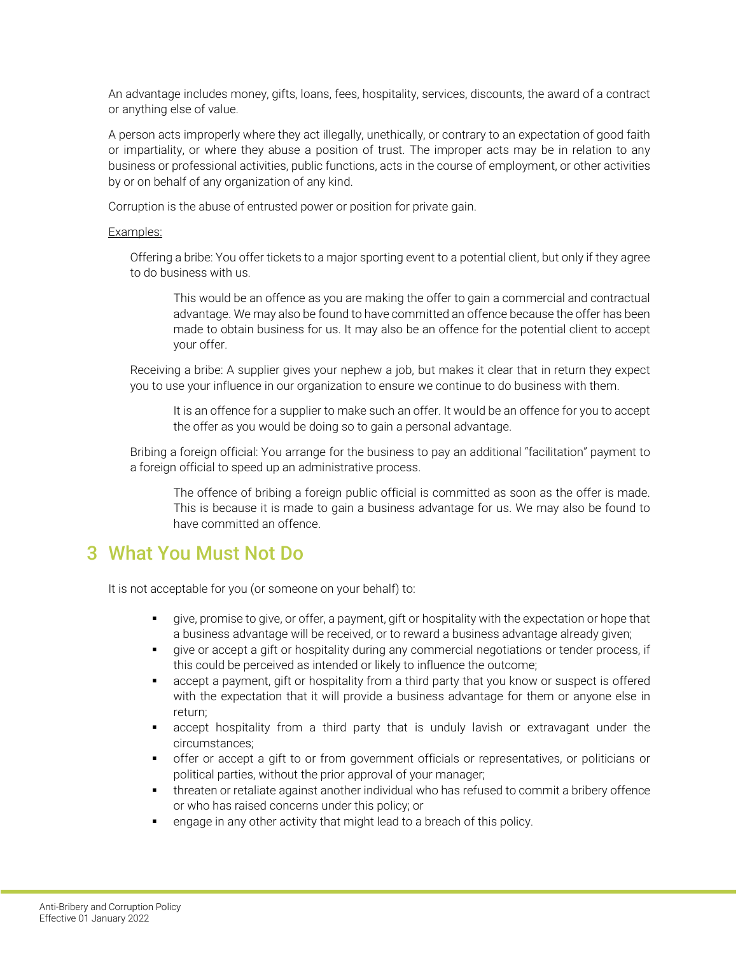An advantage includes money, gifts, loans, fees, hospitality, services, discounts, the award of a contract or anything else of value.

A person acts improperly where they act illegally, unethically, or contrary to an expectation of good faith or impartiality, or where they abuse a position of trust. The improper acts may be in relation to any business or professional activities, public functions, acts in the course of employment, or other activities by or on behalf of any organization of any kind.

Corruption is the abuse of entrusted power or position for private gain.

#### Examples:

Offering a bribe: You offer tickets to a major sporting event to a potential client, but only if they agree to do business with us.

This would be an offence as you are making the offer to gain a commercial and contractual advantage. We may also be found to have committed an offence because the offer has been made to obtain business for us. It may also be an offence for the potential client to accept your offer.

Receiving a bribe: A supplier gives your nephew a job, but makes it clear that in return they expect you to use your influence in our organization to ensure we continue to do business with them.

It is an offence for a supplier to make such an offer. It would be an offence for you to accept the offer as you would be doing so to gain a personal advantage.

Bribing a foreign official: You arrange for the business to pay an additional "facilitation" payment to a foreign official to speed up an administrative process.

The offence of bribing a foreign public official is committed as soon as the offer is made. This is because it is made to gain a business advantage for us. We may also be found to have committed an offence.

### 3 What You Must Not Do

It is not acceptable for you (or someone on your behalf) to:

- give, promise to give, or offer, a payment, gift or hospitality with the expectation or hope that a business advantage will be received, or to reward a business advantage already given;
- **The set of accept a gift or hospitality during any commercial negotiations or tender process, if** this could be perceived as intended or likely to influence the outcome;
- accept a payment, gift or hospitality from a third party that you know or suspect is offered with the expectation that it will provide a business advantage for them or anyone else in return;
- accept hospitality from a third party that is unduly lavish or extravagant under the circumstances;
- offer or accept a gift to or from government officials or representatives, or politicians or political parties, without the prior approval of your manager;
- threaten or retaliate against another individual who has refused to commit a bribery offence or who has raised concerns under this policy; or
- **Example in any other activity that might lead to a breach of this policy.**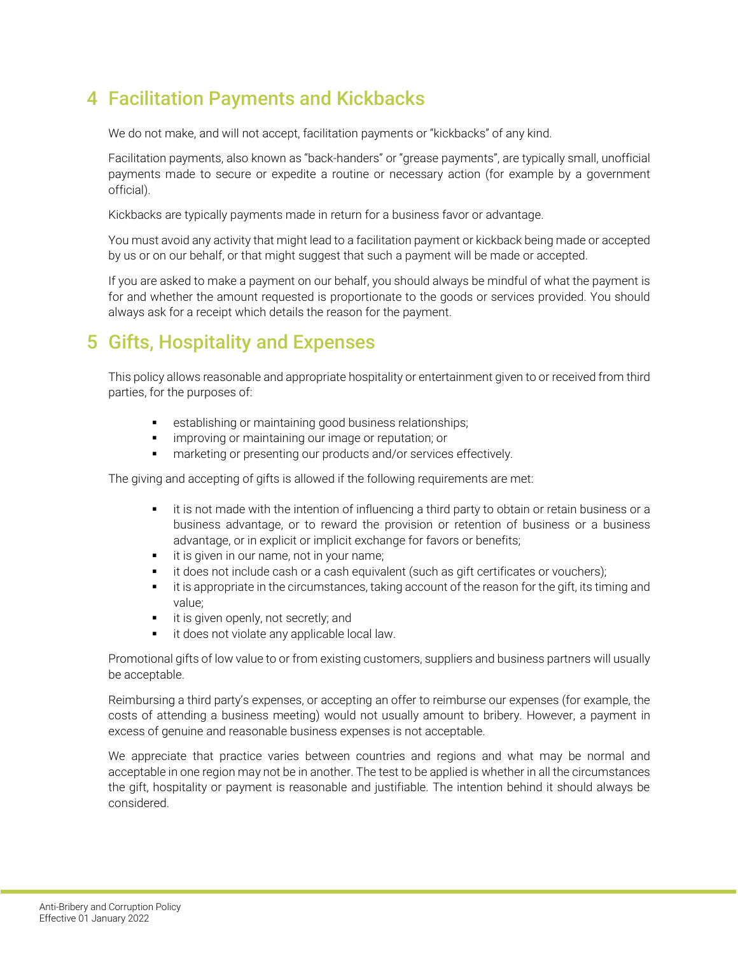# 4 Facilitation Payments and Kickbacks

We do not make, and will not accept, facilitation payments or "kickbacks" of any kind.

Facilitation payments, also known as "back-handers" or "grease payments", are typically small, unofficial payments made to secure or expedite a routine or necessary action (for example by a government official).

Kickbacks are typically payments made in return for a business favor or advantage.

You must avoid any activity that might lead to a facilitation payment or kickback being made or accepted by us or on our behalf, or that might suggest that such a payment will be made or accepted.

If you are asked to make a payment on our behalf, you should always be mindful of what the payment is for and whether the amount requested is proportionate to the goods or services provided. You should always ask for a receipt which details the reason for the payment.

# 5 Gifts, Hospitality and Expenses

This policy allows reasonable and appropriate hospitality or entertainment given to or received from third parties, for the purposes of:

- **EXECTE:** establishing or maintaining good business relationships;
- **improving or maintaining our image or reputation; or**
- marketing or presenting our products and/or services effectively.

The giving and accepting of gifts is allowed if the following requirements are met:

- it is not made with the intention of influencing a third party to obtain or retain business or a business advantage, or to reward the provision or retention of business or a business advantage, or in explicit or implicit exchange for favors or benefits;
- **i** it is given in our name, not in your name;
- **i** it does not include cash or a cash equivalent (such as gift certificates or vouchers);
- it is appropriate in the circumstances, taking account of the reason for the gift, its timing and value;
- **i** it is given openly, not secretly; and
- it does not violate any applicable local law.

Promotional gifts of low value to or from existing customers, suppliers and business partners will usually be acceptable.

Reimbursing a third party's expenses, or accepting an offer to reimburse our expenses (for example, the costs of attending a business meeting) would not usually amount to bribery. However, a payment in excess of genuine and reasonable business expenses is not acceptable.

We appreciate that practice varies between countries and regions and what may be normal and acceptable in one region may not be in another. The test to be applied is whether in all the circumstances the gift, hospitality or payment is reasonable and justifiable. The intention behind it should always be considered.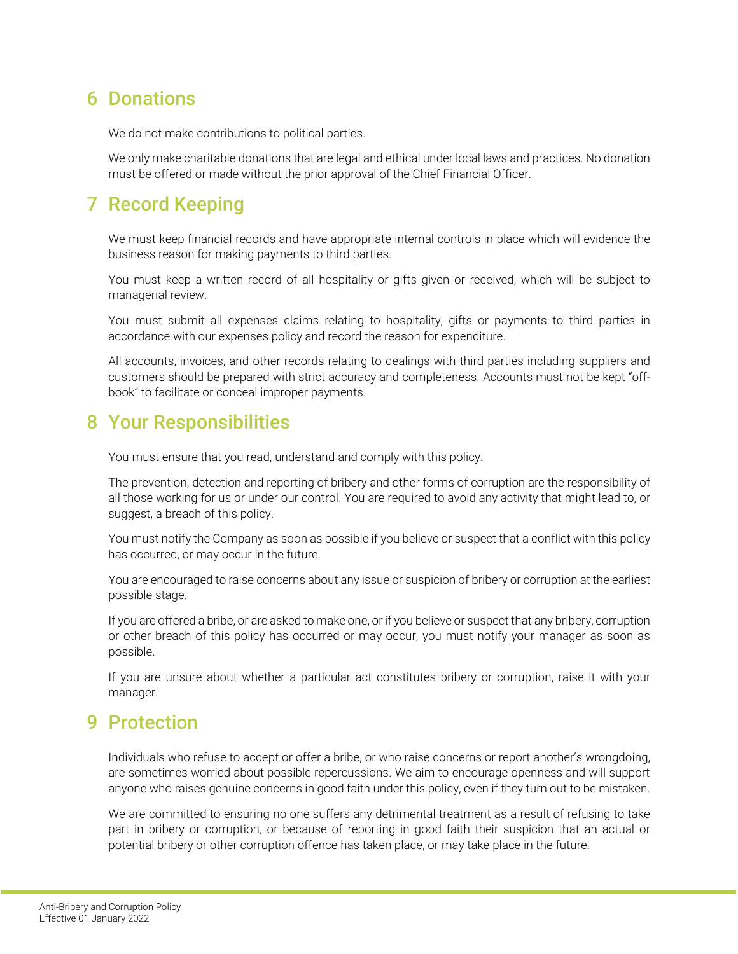## 6 Donations

We do not make contributions to political parties.

We only make charitable donations that are legal and ethical under local laws and practices. No donation must be offered or made without the prior approval of the Chief Financial Officer.

# 7 Record Keeping

We must keep financial records and have appropriate internal controls in place which will evidence the business reason for making payments to third parties.

You must keep a written record of all hospitality or gifts given or received, which will be subject to managerial review.

You must submit all expenses claims relating to hospitality, gifts or payments to third parties in accordance with our expenses policy and record the reason for expenditure.

All accounts, invoices, and other records relating to dealings with third parties including suppliers and customers should be prepared with strict accuracy and completeness. Accounts must not be kept "offbook" to facilitate or conceal improper payments.

### 8 Your Responsibilities

You must ensure that you read, understand and comply with this policy.

The prevention, detection and reporting of bribery and other forms of corruption are the responsibility of all those working for us or under our control. You are required to avoid any activity that might lead to, or suggest, a breach of this policy.

You must notify the Company as soon as possible if you believe or suspect that a conflict with this policy has occurred, or may occur in the future.

You are encouraged to raise concerns about any issue or suspicion of bribery or corruption at the earliest possible stage.

If you are offered a bribe, or are asked to make one, or if you believe or suspect that any bribery, corruption or other breach of this policy has occurred or may occur, you must notify your manager as soon as possible.

If you are unsure about whether a particular act constitutes bribery or corruption, raise it with your manager.

# 9 Protection

Individuals who refuse to accept or offer a bribe, or who raise concerns or report another's wrongdoing, are sometimes worried about possible repercussions. We aim to encourage openness and will support anyone who raises genuine concerns in good faith under this policy, even if they turn out to be mistaken.

We are committed to ensuring no one suffers any detrimental treatment as a result of refusing to take part in bribery or corruption, or because of reporting in good faith their suspicion that an actual or potential bribery or other corruption offence has taken place, or may take place in the future.